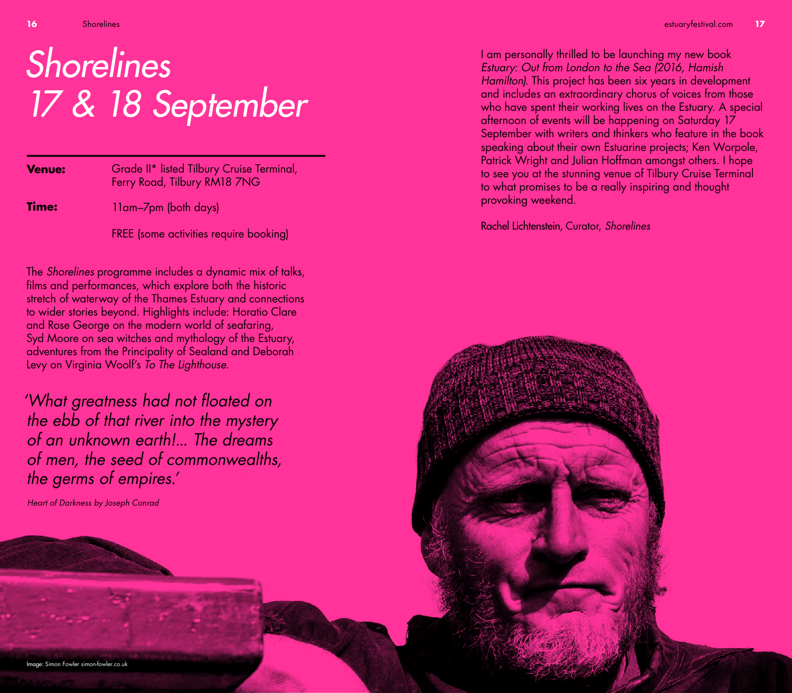# Shorelines 17 & 18 September

| <b>Venue:</b> | Grade II* listed Tilbury Cruise Terminal,<br>Ferry Road, Tilbury RM18 7NG |
|---------------|---------------------------------------------------------------------------|
| Time:         | 11am-7pm (both days)                                                      |
|               | FREE (some activities require booking)                                    |

The *Shorelines* programme includes a dynamic mix of talks, films and performances, which explore both the historic stretch of waterway of the Thames Estuary and connections to wider stories beyond. Highlights include: Horatio Clare and Rose George on the modern world of seafaring, Syd Moore on sea witches and mythology of the Estuary, adventures from the Principality of Sealand and Deborah Levy on Virginia Woolf's *To The Lighthouse*.

*'What greatness had not floated on the ebb of that river into the mystery of an unknown earth!... The dreams of men, the seed of commonwealths, the germs of empires.'*

*Heart of Darkness by Joseph Conrad*

I am personally thrilled to be launching my new book *Estuary: Out from London to the Sea (2016, Hamish Hamilton)*. This project has been six years in development and includes an extraordinary chorus of voices from those who have spent their working lives on the Estuary. A special afternoon of events will be happening on Saturday 17 September with writers and thinkers who feature in the book speaking about their own Estuarine projects; Ken Worpole, Patrick Wright and Julian Hoffman amongst others. I hope to see you at the stunning venue of Tilbury Cruise Terminal to what promises to be a really inspiring and thought provoking weekend.

Rachel Lichtenstein, Curator, *Shorelines*

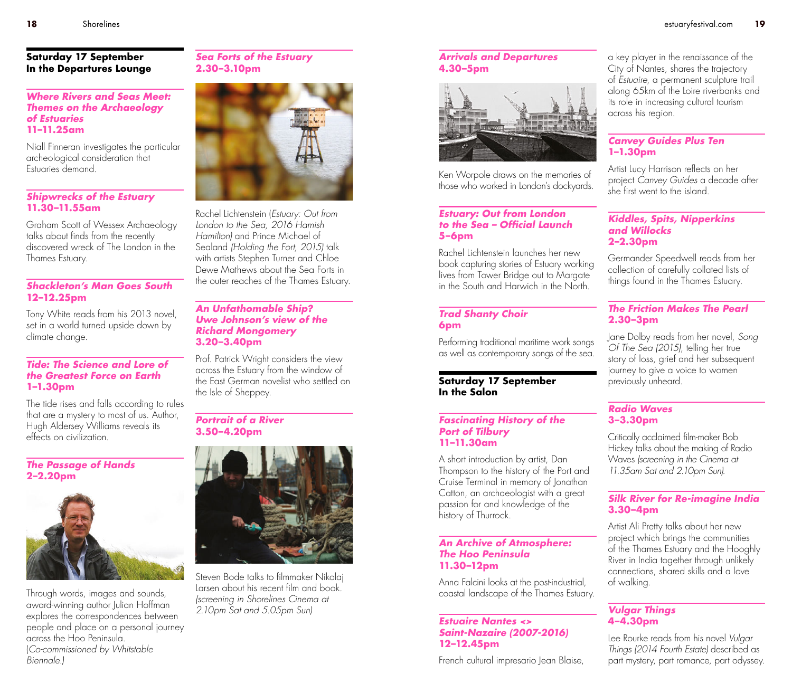#### **Saturday 17 September In the Departures Lounge**

# *Where Rivers and Seas Meet: Themes on the Archaeology of Estuaries* **11–11.25am**

Niall Finneran investigates the particular archeological consideration that Estuaries demand.

#### *Shipwrecks of the Estuary* **11.30–11.55am**

Graham Scott of Wessex Archaeology talks about finds from the recently discovered wreck of The London in the Thames Estuary.

# *Shackleton's Man Goes South*  **12–12.25pm**

Tony White reads from his 2013 novel, set in a world turned upside down by climate change.

#### *Tide: The Science and Lore of the Greatest Force on Earth*  **1–1.30pm**

The tide rises and falls according to rules that are a mystery to most of us. Author, Hugh Aldersey Williams reveals its effects on civilization.

#### *The Passage of Hands*  **2–2.20pm**



Through words, images and sounds, award-winning author Julian Hoffman explores the correspondences between people and place on a personal journey across the Hoo Peninsula. (*Co-commissioned by Whitstable Biennale.)*

# *Sea Forts of the Estuary*  **2.30–3.10pm**



Rachel Lichtenstein (*Estuary: Out from London to the Sea, 2016 Hamish Hamilton)* and Prince Michael of Sealand *(Holding the Fort, 2015)* talk with artists Stephen Turner and Chloe Dewe Mathews about the Sea Forts in the outer reaches of the Thames Estuary.

#### *An Unfathomable Ship? Uwe Johnson's view of the Richard Mongomery* **3.20–3.40pm**

Prof. Patrick Wright considers the view across the Estuary from the window of the East German novelist who settled on the Isle of Sheppey.

#### *Portrait of a River*  **3.50–4.20pm**



Steven Bode talks to filmmaker Nikolaj Larsen about his recent film and book. *(screening in Shorelines Cinema at 2.10pm Sat and 5.05pm Sun)*

### *Arrivals and Departures* **4.30–5pm**



Ken Worpole draws on the memories of those who worked in London's dockyards.

#### *Estuary: Out from London to the Sea – Official Launch*  **5–6pm**

Rachel Lichtenstein launches her new book capturing stories of Estuary working lives from Tower Bridge out to Margate in the South and Harwich in the North.

# *Trad Shanty Choir* **6pm**

Performing traditional maritime work songs as well as contemporary songs of the sea.

### **Saturday 17 September In the Salon**

#### *Fascinating History of the Port of Tilbury*  **11–11.30am**

A short introduction by artist, Dan Thompson to the history of the Port and Cruise Terminal in memory of Jonathan Catton, an archaeologist with a great passion for and knowledge of the history of Thurrock.

### *An Archive of Atmosphere: The Hoo Peninsula*  **11.30–12pm**

Anna Falcini looks at the post-industrial, coastal landscape of the Thames Estuary.

#### *Estuaire Nantes <> Saint-Nazaire (2007-2016)* **12–12.45pm**

French cultural impresario Jean Blaise,

a key player in the renaissance of the City of Nantes, shares the trajectory of *Estuaire*, a permanent sculpture trail along 65km of the Loire riverbanks and its role in increasing cultural tourism across his region.

#### *Canvey Guides Plus Ten*  **1–1.30pm**

Artist Lucy Harrison reflects on her project *Canvey Guides* a decade after she first went to the island.

### *Kiddles, Spits, Nipperkins and Willocks* **2–2.30pm**

Germander Speedwell reads from her collection of carefully collated lists of things found in the Thames Estuary.

# *The Friction Makes The Pearl*  **2.30–3pm**

Jane Dolby reads from her novel, *Song Of The Sea (2015)*, telling her true story of loss, grief and her subsequent journey to give a voice to women previously unheard.

# *Radio Waves*  **3–3.30pm**

Critically acclaimed film-maker Bob Hickey talks about the making of Radio Waves *(screening in the Cinema at 11.35am Sat and 2.10pm Sun).*

# *Silk River for Re-imagine India* **3.30–4pm**

Artist Ali Pretty talks about her new project which brings the communities of the Thames Estuary and the Hooghly River in India together through unlikely connections, shared skills and a love of walking.

# *Vulgar Things* **4–4.30pm**

Lee Rourke reads from his novel *Vulgar Things (2014 Fourth Estate)* described as part mystery, part romance, part odyssey.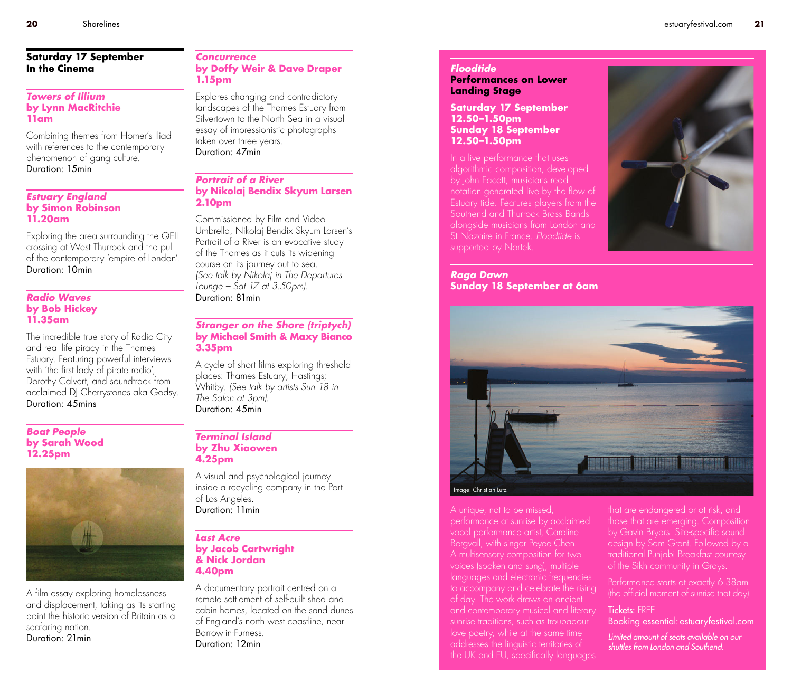#### **Saturday 17 September In the Cinema**

#### *Towers of Illium*  **by Lynn MacRitchie 11am**

Combining themes from Homer's Iliad with references to the contemporary phenomenon of gang culture. Duration: 15min

#### *Estuary England*  **by Simon Robinson 11.20am**

Exploring the area surrounding the QEII crossing at West Thurrock and the pull of the contemporary 'empire of London'. Duration: 10min

#### *Radio Waves*  **by Bob Hickey 11.35am**

The incredible true story of Radio City and real life piracy in the Thames Estuary. Featuring powerful interviews with 'the first lady of pirate radio', Dorothy Calvert, and soundtrack from acclaimed DJ Cherrystones aka Godsy. Duration: 45mins

#### *Boat People*  **by Sarah Wood 12.25pm**



A film essay exploring homelessness and displacement, taking as its starting point the historic version of Britain as a seafaring nation. Duration: 21min

#### *Concurrence*  **by Doffy Weir & Dave Draper 1.15pm**

Explores changing and contradictory landscapes of the Thames Estuary from Silvertown to the North Sea in a visual essay of impressionistic photographs taken over three years. Duration: 47min

#### *Portrait of a River*  **by Nikolaj Bendix Skyum Larsen 2.10pm**

Commissioned by Film and Video Umbrella, Nikolaj Bendix Skyum Larsen's Portrait of a River is an evocative study of the Thames as it cuts its widening course on its journey out to sea. *(See talk by Nikolaj in The Departures Lounge – Sat 17 at 3.50pm).* Duration: 81min

#### *Stranger on the Shore (triptych)*  **by Michael Smith & Maxy Bianco 3.35pm**

A cycle of short films exploring threshold places: Thames Estuary; Hastings; Whitby. *(See talk by artists Sun 18 in The Salon at 3pm).* Duration: 45min

#### *Terminal Island* **by Zhu Xiaowen 4.25pm**

A visual and psychological journey inside a recycling company in the Port of Los Angeles. Duration: 11min

#### *Last Acre* **by Jacob Cartwright & Nick Jordan 4.40pm**

A documentary portrait centred on a remote settlement of self-built shed and cabin homes, located on the sand dunes of England's north west coastline, near Barrow-in-Furness. Duration: 12min

#### *Floodtide*

**Performances on Lower Landing Stage**

**Saturday 17 September 12.50–1.50pm Sunday 18 September 12.50–1.50pm**

In a live performance that uses algorithmic composition, developed by John Eacott, musicians read notation generated live by the flow of Estuary tide. Features players from the Southend and Thurrock Brass Bands alongside musicians from London and St Nazaire in France. *Floodtide* is supported by Nortek.



#### *Raga Dawn*  **Sunday 18 September at 6am**



A unique, not to be missed, performance at sunrise by acclaimed vocal performance artist, Caroline Bergvall, with singer Peyee Chen. A multisensory composition for two voices (spoken and sung), multiple languages and electronic frequencies to accompany and celebrate the rising of day. The work draws on ancient and contemporary musical and literary sunrise traditions, such as troubadour love poetry, while at the same time addresses the linguistic territories of

that are endangered or at risk, and those that are emerging. Composition by Gavin Bryars. Site-specific sound design by Sam Grant. Followed by a traditional Punjabi Breakfast courtesy of the Sikh community in Grays.

Performance starts at exactly 6.38am (the official moment of sunrise that day).

#### Tickets: FREE Booking essential: estuaryfestival.com

Limited amount of seats available on our shuttles from London and Southend.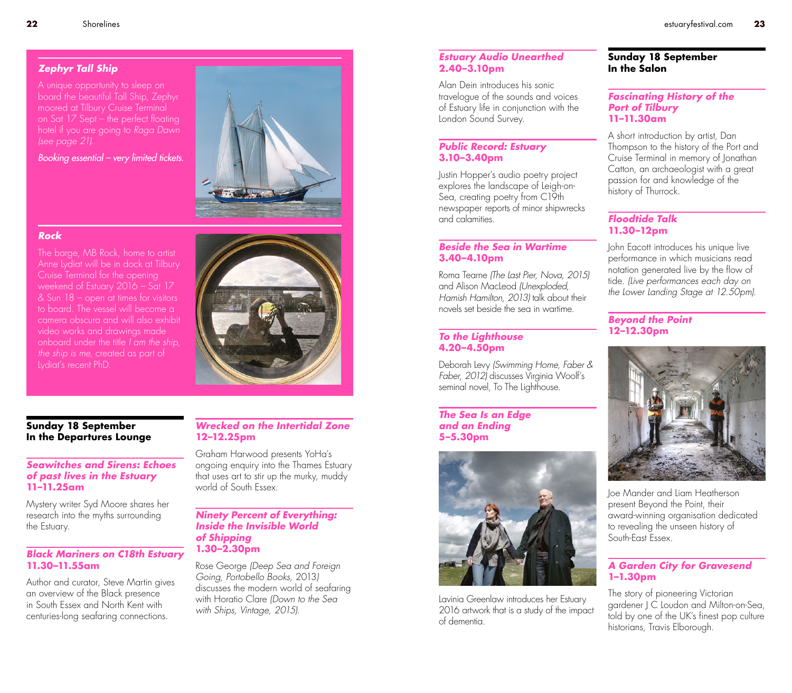# *Zephyr Tall Ship*

A unique opportunity to sleep on board the beautiful Tall Ship, Zephyr moored at Tilbury Cruise Terminal on Sat 17 Sept – the perfect floating hotel if you are going to *Raga Dawn (see page 21)*.

Booking essential – very limited tickets.



### *Rock*

The barge, MB Rock, home to artist Anne Lydiat will be in dock at Tilbury Cruise Terminal for the opening weekend of Estuary 2016 – Sat 17 & Sun 18 – open at times for visitors to board. The vessel will become a camera obscura and will also exhibit video works and drawings made onboard under the title *I am the ship, the ship is me*, created as part of Lydiat's recent PhD.

### **Sunday 18 September In the Departures Lounge**

### *Seawitches and Sirens: Echoes of past lives in the Estuary*  **11–11.25am**

Mystery writer Syd Moore shares her research into the myths surrounding the Estuary.

# *Black Mariners on C18th Estuary* **11.30–11.55am**

Author and curator, Steve Martin gives an overview of the Black presence in South Essex and North Kent with centuries-long seafaring connections.

# *Wrecked on the Intertidal Zone*  **12–12.25pm**

Graham Harwood presents YoHa's ongoing enquiry into the Thames Estuary that uses art to stir up the murky, muddy world of South Essex.

#### *Ninety Percent of Everything: Inside the Invisible World of Shipping* **1.30–2.30pm**

Rose George *(Deep Sea and Foreign Going, Portobello Books,* 2013*)* discusses the modern world of seafaring with Horatio Clare *(Down to the Sea with Ships, Vintage, 2015)*.

# *Estuary Audio Unearthed* **2.40–3.10pm**

Alan Dein introduces his sonic travelogue of the sounds and voices of Estuary life in conjunction with the London Sound Survey.

# *Public Record: Estuary* **3.10–3.40pm**

Justin Hopper's audio poetry project explores the landscape of Leigh-on-Sea, creating poetry from C19th newspaper reports of minor shipwrecks and calamities.

#### *Beside the Sea in Wartime* **3.40–4.10pm**

Roma Tearne *(The Last Pier, Nova, 2015)* and Alison MacLeod *(Unexploded, Hamish Hamilton, 2013)* talk about their novels set beside the sea in wartime.

# *To the Lighthouse* **4.20–4.50pm**

Deborah Levy *(Swimming Home, Faber & Faber, 2012)* discusses Virginia Woolf's seminal novel. To The Lighthouse.

#### *The Sea Is an Edge and an Ending* **5–5.30pm**



Lavinia Greenlaw introduces her Estuary 2016 artwork that is a study of the impact of dementia.

#### **Sunday 18 September In the Salon**

# *Fascinating History of the Port of Tilbury*  **11–11.30am**

A short introduction by artist, Dan Thompson to the history of the Port and Cruise Terminal in memory of Jonathan Catton, an archaeologist with a great passion for and knowledge of the history of Thurrock.

# *Floodtide Talk* **11.30–12pm**

John Eacott introduces his unique live performance in which musicians read notation generated live by the flow of tide. *(Live performances each day on the Lower Landing Stage at 12.50pm).*

# *Beyond the Point* **12–12.30pm**



Joe Mander and Liam Heatherson present Beyond the Point, their award-winning organisation dedicated to revealing the unseen history of South-East Essex.

# *A Garden City for Gravesend*  **1–1.30pm**

The story of pioneering Victorian gardener J C Loudon and Milton-on-Sea, told by one of the UK's finest pop culture historians, Travis Elborough.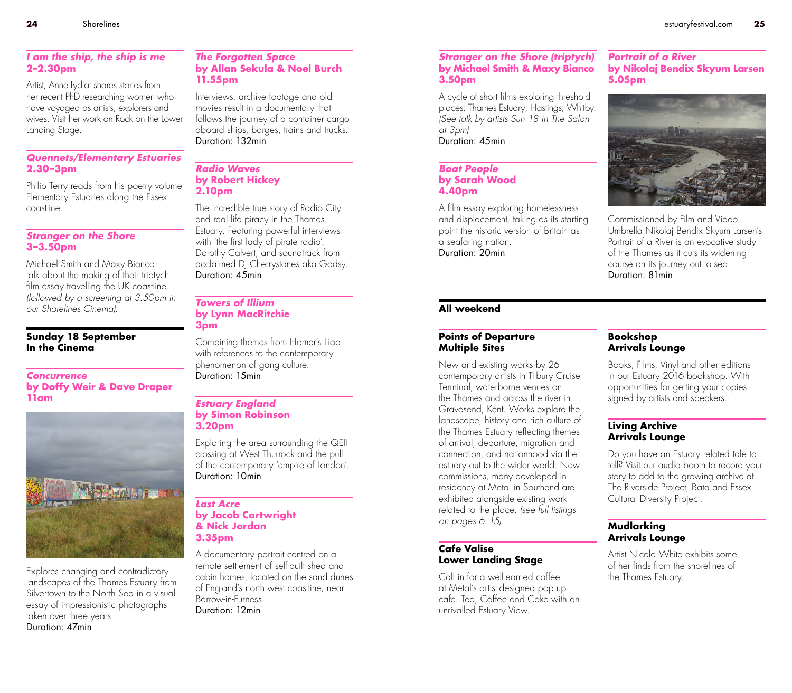#### *I am the ship, the ship is me*  **2–2.30pm**

Artist, Anne Lydiat shares stories from her recent PhD researching women who have voyaged as artists, explorers and wives. Visit her work on Rock on the Lower Landing Stage.

# *Quennets/Elementary Estuaries* **2.30–3pm**

Philip Terry reads from his poetry volume Elementary Estuaries along the Essex coastline.

# *Stranger on the Shore* **3–3.50pm**

Michael Smith and Maxy Bianco talk about the making of their triptych film essay travelling the UK coastline. *(followed by a screening at 3.50pm in our Shorelines Cinema).*

#### **Sunday 18 September In the Cinema**

#### *Concurrence*  **by Doffy Weir & Dave Draper 11am**



Explores changing and contradictory landscapes of the Thames Estuary from Silvertown to the North Sea in a visual essay of impressionistic photographs taken over three years. Duration: 47min

#### *The Forgotten Space* **by Allan Sekula & Noel Burch 11.55pm**

Interviews, archive footage and old movies result in a documentary that follows the journey of a container cargo aboard ships, barges, trains and trucks. Duration: 132min

#### *Radio Waves*  **by Robert Hickey 2.10pm**

The incredible true story of Radio City and real life piracy in the Thames Estuary. Featuring powerful interviews with 'the first lady of pirate radio', Dorothy Calvert, and soundtrack from acclaimed DJ Cherrystones aka Godsy. Duration: 45min

#### *Towers of Illium*  **by Lynn MacRitchie 3pm**

Combining themes from Homer's Iliad with references to the contemporary phenomenon of gang culture. Duration: 15min

#### *Estuary England* **by Simon Robinson 3.20pm**

Exploring the area surrounding the QEII crossing at West Thurrock and the pull of the contemporary 'empire of London'. Duration: 10min

#### *Last Acre* **by Jacob Cartwright & Nick Jordan 3.35pm**

A documentary portrait centred on a remote settlement of self-built shed and cabin homes, located on the sand dunes of England's north west coastline, near Barrow-in-Furness. Duration: 12min

#### *Stranger on the Shore (triptych)* **by Michael Smith & Maxy Bianco 3.50pm**

A cycle of short films exploring threshold places: Thames Estuary; Hastings; Whitby. *(See talk by artists Sun 18 in The Salon at 3pm)* Duration: 45min

#### *Boat People* **by Sarah Wood 4.40pm**

A film essay exploring homelessness and displacement, taking as its starting point the historic version of Britain as a seafaring nation. Duration: 20min

#### *Portrait of a River*  **by Nikolaj Bendix Skyum Larsen 5.05pm**



Commissioned by Film and Video Umbrella Nikolaj Bendix Skyum Larsen's Portrait of a River is an evocative study of the Thames as it cuts its widening course on its journey out to sea. Duration: 81min

# **All weekend**

#### **Points of Departure Multiple Sites**

New and existing works by 26 contemporary artists in Tilbury Cruise Terminal, waterborne venues on the Thames and across the river in Gravesend, Kent. Works explore the landscape, history and rich culture of the Thames Estuary reflecting themes of arrival, departure, migration and connection, and nationhood via the estuary out to the wider world. New commissions, many developed in residency at Metal in Southend are exhibited alongside existing work related to the place. *(see full listings on pages 6–15).*

# **Cafe Valise Lower Landing Stage**

Call in for a well-earned coffee at Metal's artist-designed pop up cafe. Tea, Coffee and Cake with an unrivalled Estuary View.

# **Bookshop Arrivals Lounge**

Books, Films, Vinyl and other editions in our Estuary 2016 bookshop. With opportunities for getting your copies signed by artists and speakers.

# **Living Archive Arrivals Lounge**

Do you have an Estuary related tale to tell? Visit our audio booth to record your story to add to the growing archive at The Riverside Project, Bata and Essex Cultural Diversity Project.

# **Mudlarking Arrivals Lounge**

Artist Nicola White exhibits some of her finds from the shorelines of the Thames Estuary.